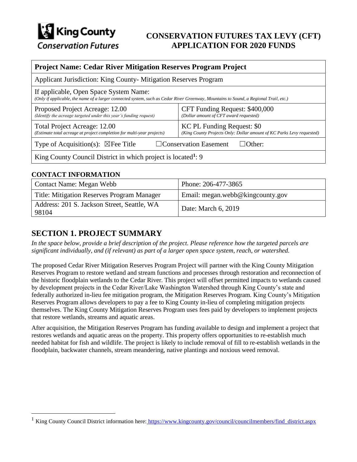

## **CONSERVATION FUTURES TAX LEVY (CFT) APPLICATION FOR 2020 FUNDS**

#### **Project Name: Cedar River Mitigation Reserves Program Project**

| Applicant Jurisdiction: King County- Mitigation Reserves Program                                                                                                                |                                                                                                     |  |
|---------------------------------------------------------------------------------------------------------------------------------------------------------------------------------|-----------------------------------------------------------------------------------------------------|--|
| If applicable, Open Space System Name:<br>(Only if applicable, the name of a larger connected system, such as Cedar River Greenway, Mountains to Sound, a Regional Trail, etc.) |                                                                                                     |  |
| Proposed Project Acreage: 12.00<br>(Identify the acreage targeted under this year's funding request)                                                                            | CFT Funding Request: \$400,000<br>(Dollar amount of CFT award requested)                            |  |
| Total Project Acreage: 12.00<br>(Estimate total acreage at project completion for multi-year projects)                                                                          | KC PL Funding Request: \$0<br>(King County Projects Only: Dollar amount of KC Parks Levy requested) |  |
| Type of Acquisition(s): $\boxtimes$ Fee Title                                                                                                                                   | $\Box$ Conservation Easement<br>$\Box$ Other:                                                       |  |
| King County Council District in which project is located <sup>1</sup> : 9                                                                                                       |                                                                                                     |  |

#### **CONTACT INFORMATION**

 $\overline{a}$ 

| Contact Name: Megan Webb                             | Phone: 206-477-3865              |
|------------------------------------------------------|----------------------------------|
| Title: Mitigation Reserves Program Manager           | Email: megan.webb@kingcounty.gov |
| Address: 201 S. Jackson Street, Seattle, WA<br>98104 | Date: March 6, 2019              |

#### **SECTION 1. PROJECT SUMMARY**

*In the space below, provide a brief description of the project. Please reference how the targeted parcels are significant individually, and (if relevant) as part of a larger open space system, reach, or watershed.*

The proposed Cedar River Mitigation Reserves Program Project will partner with the King County Mitigation Reserves Program to restore wetland and stream functions and processes through restoration and reconnection of the historic floodplain wetlands to the Cedar River. This project will offset permitted impacts to wetlands caused by development projects in the Cedar River/Lake Washington Watershed through King County's state and federally authorized in-lieu fee mitigation program, the Mitigation Reserves Program. King County's Mitigation Reserves Program allows developers to pay a fee to King County in-lieu of completing mitigation projects themselves. The King County Mitigation Reserves Program uses fees paid by developers to implement projects that restore wetlands, streams and aquatic areas.

After acquisition, the Mitigation Reserves Program has funding available to design and implement a project that restores wetlands and aquatic areas on the property. This property offers opportunities to re-establish much needed habitat for fish and wildlife. The project is likely to include removal of fill to re-establish wetlands in the floodplain, backwater channels, stream meandering, native plantings and noxious weed removal.

<sup>&</sup>lt;sup>1</sup> King County Council District information here: [https://www.kingcounty.gov/council/councilmembers/find\\_district.aspx](https://www.kingcounty.gov/council/councilmembers/find_district.aspx)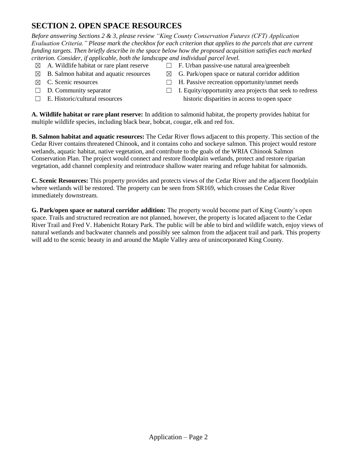## **SECTION 2. OPEN SPACE RESOURCES**

*Before answering Sections 2 & 3, please review "King County Conservation Futures (CFT) Application Evaluation Criteria." Please mark the checkbox for each criterion that applies to the parcels that are current funding targets. Then briefly describe in the space below how the proposed acquisition satisfies each marked criterion. Consider, if applicable, both the landscape and individual parcel level.*

- 
- 
- 
- 
- 
- $\boxtimes$  A. Wildlife habitat or rare plant reserve  $\Box$  F. Urban passive-use natural area/greenbelt
- $\boxtimes$  B. Salmon habitat and aquatic resources  $\boxtimes$  G. Park/open space or natural corridor addition
- $\boxtimes$  C. Scenic resources  $\Box$  H. Passive recreation opportunity/unmet needs
- ☐ D. Community separator ☐ I. Equity/opportunity area projects that seek to redress  $\Box$  E. Historic/cultural resources historic disparities in access to open space

**A. Wildlife habitat or rare plant reserve:** In addition to salmonid habitat, the property provides habitat for multiple wildlife species, including black bear, bobcat, cougar, elk and red fox.

**B. Salmon habitat and aquatic resources:** The Cedar River flows adjacent to this property. This section of the Cedar River contains threatened Chinook, and it contains coho and sockeye salmon. This project would restore wetlands, aquatic habitat, native vegetation, and contribute to the goals of the WRIA Chinook Salmon Conservation Plan. The project would connect and restore floodplain wetlands, protect and restore riparian vegetation, add channel complexity and reintroduce shallow water rearing and refuge habitat for salmonids.

**C. Scenic Resources:** This property provides and protects views of the Cedar River and the adjacent floodplain where wetlands will be restored. The property can be seen from SR169, which crosses the Cedar River immediately downstream.

**G. Park/open space or natural corridor addition:** The property would become part of King County's open space. Trails and structured recreation are not planned, however, the property is located adjacent to the Cedar River Trail and Fred V. Habenicht Rotary Park. The public will be able to bird and wildlife watch, enjoy views of natural wetlands and backwater channels and possibly see salmon from the adjacent trail and park. This property will add to the scenic beauty in and around the Maple Valley area of unincorporated King County.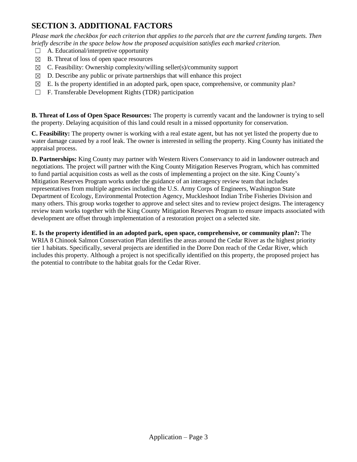## **SECTION 3. ADDITIONAL FACTORS**

*Please mark the checkbox for each criterion that applies to the parcels that are the current funding targets. Then briefly describe in the space below how the proposed acquisition satisfies each marked criterion.*

- $\Box$  A. Educational/interpretive opportunity
- $\boxtimes$  B. Threat of loss of open space resources
- $\boxtimes$  C. Feasibility: Ownership complexity/willing seller(s)/community support
- $\boxtimes$  D. Describe any public or private partnerships that will enhance this project
- $\boxtimes$  E. Is the property identified in an adopted park, open space, comprehensive, or community plan?
- ☐ F. Transferable Development Rights (TDR) participation

**B. Threat of Loss of Open Space Resources:** The property is currently vacant and the landowner is trying to sell the property. Delaying acquisition of this land could result in a missed opportunity for conservation.

**C. Feasibility:** The property owner is working with a real estate agent, but has not yet listed the property due to water damage caused by a roof leak. The owner is interested in selling the property. King County has initiated the appraisal process.

**D. Partnerships:** King County may partner with Western Rivers Conservancy to aid in landowner outreach and negotiations. The project will partner with the King County Mitigation Reserves Program, which has committed to fund partial acquisition costs as well as the costs of implementing a project on the site. King County's Mitigation Reserves Program works under the guidance of an interagency review team that includes representatives from multiple agencies including the U.S. Army Corps of Engineers, Washington State Department of Ecology, Environmental Protection Agency, Muckleshoot Indian Tribe Fisheries Division and many others. This group works together to approve and select sites and to review project designs. The interagency review team works together with the King County Mitigation Reserves Program to ensure impacts associated with development are offset through implementation of a restoration project on a selected site.

#### **E. Is the property identified in an adopted park, open space, comprehensive, or community plan?:** The

WRIA 8 Chinook Salmon Conservation Plan identifies the areas around the Cedar River as the highest priority tier 1 habitats. Specifically, several projects are identified in the Dorre Don reach of the Cedar River, which includes this property. Although a project is not specifically identified on this property, the proposed project has the potential to contribute to the habitat goals for the Cedar River.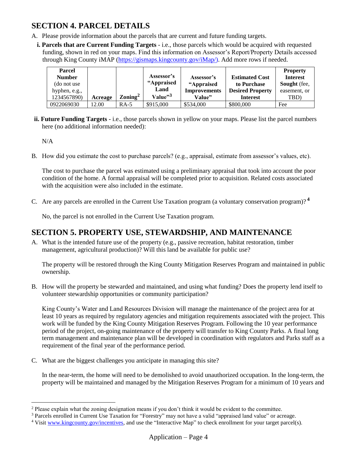## **SECTION 4. PARCEL DETAILS**

- A. Please provide information about the parcels that are current and future funding targets.
	- **i. Parcels that are Current Funding Targets** i.e., those parcels which would be acquired with requested funding, shown in red on your maps. Find this information on Assessor's Report/Property Details accessed through King County iMAP [\(https://gismaps.kingcounty.gov/iMap/\)](https://gismaps.kingcounty.gov/iMap/). Add more rows if needed.

| <b>Parcel</b><br><b>Number</b><br>(do not use)<br>hyphen, e.g., |         |                              | Assessor's<br>"Appraised<br>Land | Assessor's<br>"Appraised<br><b>Improvements</b> | <b>Estimated Cost</b><br>to Purchase<br><b>Desired Property</b> | <b>Property</b><br><b>Interest</b><br><b>Sought</b> (fee,<br>easement, or |
|-----------------------------------------------------------------|---------|------------------------------|----------------------------------|-------------------------------------------------|-----------------------------------------------------------------|---------------------------------------------------------------------------|
| 1234567890)                                                     | Acreage | $\gamma$ Zoning <sup>2</sup> | Value $\mathfrak{v}^3$           | Value"                                          | <b>Interest</b>                                                 | TBD)                                                                      |
| 0922069030                                                      | 12.00   | $RA-5$                       | \$915,000                        | \$534,000                                       | \$800,000                                                       | Fee                                                                       |

**ii. Future Funding Targets** - i.e., those parcels shown in yellow on your maps. Please list the parcel numbers here (no additional information needed):

N/A

 $\overline{a}$ 

B. How did you estimate the cost to purchase parcels? (e.g., appraisal, estimate from assessor's values, etc).

The cost to purchase the parcel was estimated using a preliminary appraisal that took into account the poor condition of the home. A formal appraisal will be completed prior to acquisition. Related costs associated with the acquisition were also included in the estimate.

C. Are any parcels are enrolled in the Current Use Taxation program (a voluntary conservation program)? **<sup>4</sup>**

No, the parcel is not enrolled in the Current Use Taxation program.

#### **SECTION 5. PROPERTY USE, STEWARDSHIP, AND MAINTENANCE**

A. What is the intended future use of the property (e.g., passive recreation, habitat restoration, timber management, agricultural production)? Will this land be available for public use?

The property will be restored through the King County Mitigation Reserves Program and maintained in public ownership.

B. How will the property be stewarded and maintained, and using what funding? Does the property lend itself to volunteer stewardship opportunities or community participation?

King County's Water and Land Resources Division will manage the maintenance of the project area for at least 10 years as required by regulatory agencies and mitigation requirements associated with the project. This work will be funded by the King County Mitigation Reserves Program. Following the 10 year performance period of the project, on-going maintenance of the property will transfer to King County Parks. A final long term management and maintenance plan will be developed in coordination with regulators and Parks staff as a requirement of the final year of the performance period.

C. What are the biggest challenges you anticipate in managing this site?

In the near-term, the home will need to be demolished to avoid unauthorized occupation. In the long-term, the property will be maintained and managed by the Mitigation Reserves Program for a minimum of 10 years and

<sup>&</sup>lt;sup>2</sup> Please explain what the zoning designation means if you don't think it would be evident to the committee.

<sup>&</sup>lt;sup>3</sup> Parcels enrolled in Current Use Taxation for "Forestry" may not have a valid "appraised land value" or acreage.

<sup>4</sup> Visi[t www.kingcounty.gov/incentives,](http://www.kingcounty.gov/incentives) and use the "Interactive Map" to check enrollment for your target parcel(s).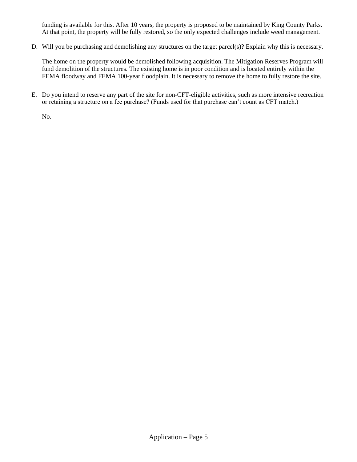funding is available for this. After 10 years, the property is proposed to be maintained by King County Parks. At that point, the property will be fully restored, so the only expected challenges include weed management.

D. Will you be purchasing and demolishing any structures on the target parcel(s)? Explain why this is necessary.

The home on the property would be demolished following acquisition. The Mitigation Reserves Program will fund demolition of the structures. The existing home is in poor condition and is located entirely within the FEMA floodway and FEMA 100-year floodplain. It is necessary to remove the home to fully restore the site.

E. Do you intend to reserve any part of the site for non-CFT-eligible activities, such as more intensive recreation or retaining a structure on a fee purchase? (Funds used for that purchase can't count as CFT match.)

No.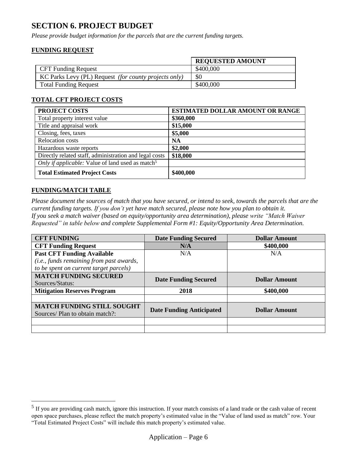#### **SECTION 6. PROJECT BUDGET**

*Please provide budget information for the parcels that are the current funding targets.*

#### **FUNDING REQUEST**

|                                                       | <b>REQUESTED AMOUNT</b> |
|-------------------------------------------------------|-------------------------|
| <b>CFT Funding Request</b>                            | \$400,000               |
| KC Parks Levy (PL) Request (for county projects only) | \$0                     |
| <b>Total Funding Request</b>                          | \$400,000               |

#### **TOTAL CFT PROJECT COSTS**

| PROJECT COSTS                                                | <b>ESTIMATED DOLLAR AMOUNT OR RANGE</b> |
|--------------------------------------------------------------|-----------------------------------------|
| Total property interest value                                | \$360,000                               |
| Title and appraisal work                                     | \$15,000                                |
| Closing, fees, taxes                                         | \$5,000                                 |
| <b>Relocation costs</b>                                      | <b>NA</b>                               |
| Hazardous waste reports                                      | \$2,000                                 |
| Directly related staff, administration and legal costs       | \$18,000                                |
| Only if applicable: Value of land used as match <sup>5</sup> |                                         |
| <b>Total Estimated Project Costs</b>                         | \$400,000                               |

#### **FUNDING/MATCH TABLE**

 $\overline{a}$ 

*Please document the sources of match that you have secured, or intend to seek, towards the parcels that are the current funding targets. If you don't yet have match secured, please note how you plan to obtain it. If you seek a match waiver (based on equity/opportunity area determination), please write "Match Waiver Requested" in table below and complete Supplemental Form #1: Equity/Opportunity Area Determination.*

| <b>CFT FUNDING</b>                       | <b>Date Funding Secured</b>     | <b>Dollar Amount</b> |  |
|------------------------------------------|---------------------------------|----------------------|--|
| <b>CFT Funding Request</b>               | N/A                             | \$400,000            |  |
| <b>Past CFT Funding Available</b>        | N/A                             | N/A                  |  |
| (i.e., funds remaining from past awards, |                                 |                      |  |
| to be spent on current target parcels)   |                                 |                      |  |
| <b>MATCH FUNDING SECURED</b>             |                                 | <b>Dollar Amount</b> |  |
| Sources/Status:                          | <b>Date Funding Secured</b>     |                      |  |
| <b>Mitigation Reserves Program</b>       | 2018                            | \$400,000            |  |
|                                          |                                 |                      |  |
| <b>MATCH FUNDING STILL SOUGHT</b>        |                                 | <b>Dollar Amount</b> |  |
| Sources/ Plan to obtain match?:          | <b>Date Funding Anticipated</b> |                      |  |
|                                          |                                 |                      |  |
|                                          |                                 |                      |  |

 $<sup>5</sup>$  If you are providing cash match, ignore this instruction. If your match consists of a land trade or the cash value of recent</sup> open space purchases, please reflect the match property's estimated value in the "Value of land used as match" row. Your "Total Estimated Project Costs" will include this match property's estimated value.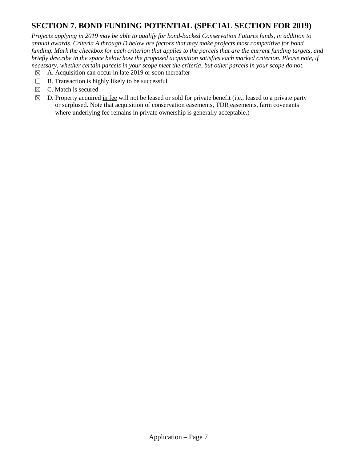## **SECTION 7. BOND FUNDING POTENTIAL (SPECIAL SECTION FOR 2019)**

*Projects applying in 2019 may be able to qualify for bond-backed Conservation Futures funds, in addition to annual awards. Criteria A through D below are factors that may make projects most competitive for bond funding. Mark the checkbox for each criterion that applies to the parcels that are the current funding targets, and briefly describe in the space below how the proposed acquisition satisfies each marked criterion. Please note, if necessary, whether certain parcels in your scope meet the criteria, but other parcels in your scope do not.* 

- $\boxtimes$  A. Acquisition can occur in late 2019 or soon thereafter
- $\Box$  B. Transaction is highly likely to be successful
- $\boxtimes$  C. Match is secured
- $\boxtimes$  D. Property acquired in fee will not be leased or sold for private benefit (i.e., leased to a private party or surplused. Note that acquisition of conservation easements, TDR easements, farm covenants where underlying fee remains in private ownership is generally acceptable.)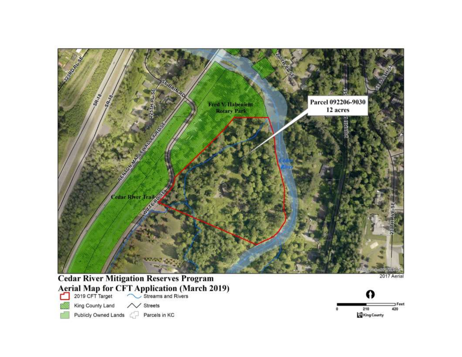

# **Cedar River Mitigation Reserves Program** Aerial Map for CFT Application (March 2019)

- - King County Land / Streets
- Publicly Owned Lands

Parcels in KC